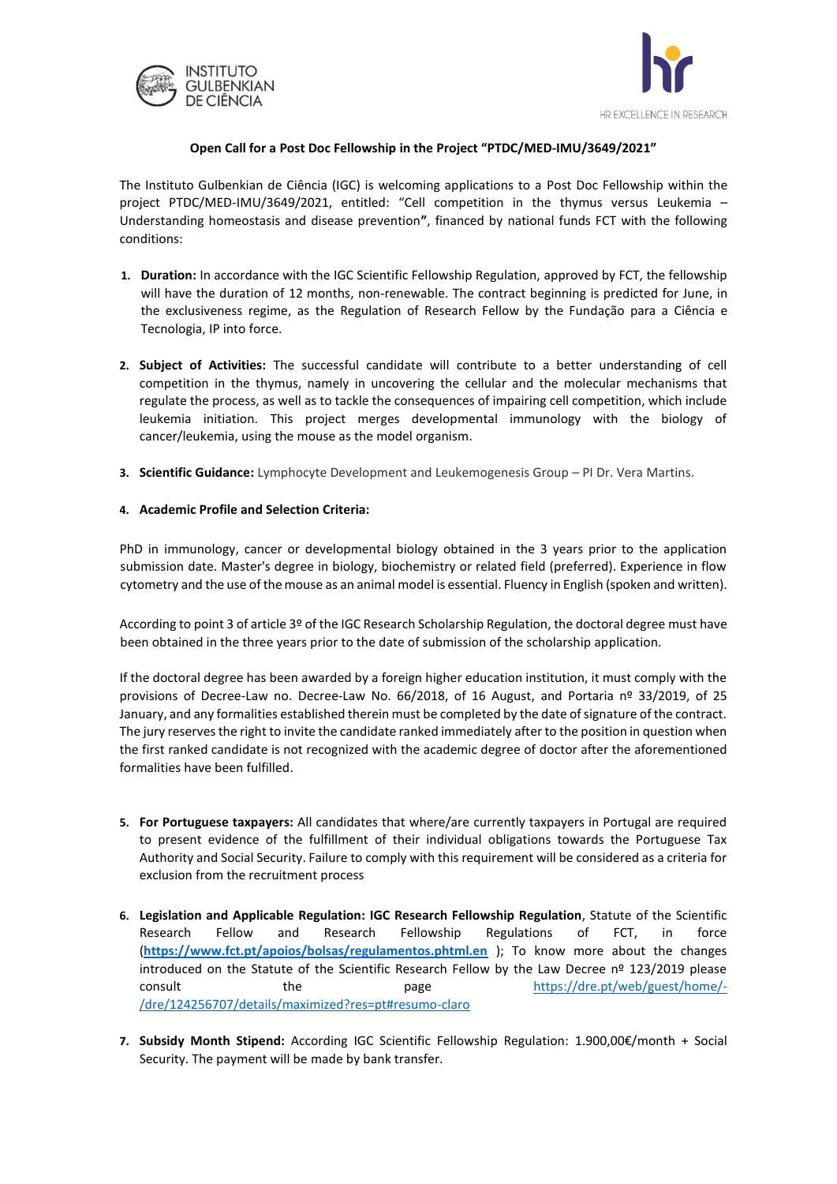



## **Open Call for a Post Doc Fellowship in the Project "PTDC/MED-IMU/3649/2021"**

The Instituto Gulbenkian de Ciência (IGC) is welcoming applications to a Post Doc Fellowship within the project PTDC/MED-IMU/3649/2021, entitled: "Cell competition in the thymus versus Leukemia – Understanding homeostasis and disease prevention**"**, financed by national funds FCT with the following conditions:

- **1. Duration:** In accordance with the IGC Scientific Fellowship Regulation, approved by FCT, the fellowship will have the duration of 12 months, non-renewable. The contract beginning is predicted for June, in the exclusiveness regime, as the Regulation of Research Fellow by the Fundação para a Ciência e Tecnologia, IP into force.
- **2. Subject of Activities:** The successful candidate will contribute to a better understanding of cell competition in the thymus, namely in uncovering the cellular and the molecular mechanisms that regulate the process, as well as to tackle the consequences of impairing cell competition, which include leukemia initiation. This project merges developmental immunology with the biology of cancer/leukemia, using the mouse as the model organism.
- **3. Scientific Guidance:** Lymphocyte Development and Leukemogenesis Group PI Dr. Vera Martins.

## **4. Academic Profile and Selection Criteria:**

PhD in immunology, cancer or developmental biology obtained in the 3 years prior to the application submission date. Master's degree in biology, biochemistry or related field (preferred). Experience in flow cytometry and the use of the mouse as an animal model is essential. Fluency in English (spoken and written).

According to point 3 of article 3º of the IGC Research Scholarship Regulation, the doctoral degree must have been obtained in the three years prior to the date of submission of the scholarship application.

If the doctoral degree has been awarded by a foreign higher education institution, it must comply with the provisions of Decree-Law no. Decree-Law No. 66/2018, of 16 August, and Portaria nº 33/2019, of 25 January, and any formalities established therein must be completed by the date of signature of the contract. The jury reserves the right to invite the candidate ranked immediately after to the position in question when the first ranked candidate is not recognized with the academic degree of doctor after the aforementioned formalities have been fulfilled.

- **5. For Portuguese taxpayers:** All candidates that where/are currently taxpayers in Portugal are required to present evidence of the fulfillment of their individual obligations towards the Portuguese Tax Authority and Social Security. Failure to comply with this requirement will be considered as a criteria for exclusion from the recruitment process
- **6. Legislation and Applicable Regulation: IGC Research Fellowship Regulation**, Statute of the Scientific Research Fellow and Research Fellowship Regulations of FCT, in force (**<https://www.fct.pt/apoios/bolsas/regulamentos.phtml.en>** ); To know more about the changes introduced on the Statute of the Scientific Research Fellow by the Law Decree nº 123/2019 please consult the page [https://dre.pt/web/guest/home/-](https://dre.pt/web/guest/home/-/dre/124256707/details/maximized?res=pt#resumo-claro) [/dre/124256707/details/maximized?res=pt#resumo-claro](https://dre.pt/web/guest/home/-/dre/124256707/details/maximized?res=pt#resumo-claro)
- **7. Subsidy Month Stipend:** According IGC Scientific Fellowship Regulation: 1.900,00€/month + Social Security. The payment will be made by bank transfer.